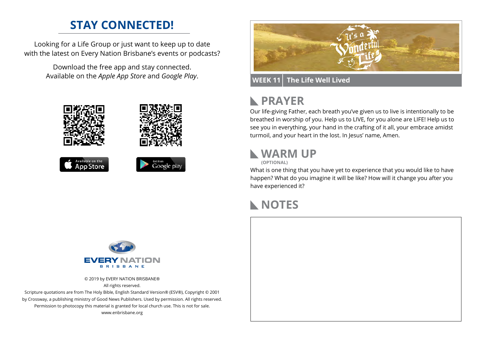# **STAY CONNECTED!**

Looking for a Life Group or just want to keep up to date with the latest on Every Nation Brisbane's events or podcasts?

> Download the free app and stay connected. Available on the *Apple App Store* and *Google Play*.





### **WEEK 11 The Life Well Lived**

#### **PRAYER**  $\mathbb{R}$

Our life-giving Father, each breath you've given us to live is intentionally to be breathed in worship of you. Help us to LIVE, for you alone are LIFE! Help us to see you in everything, your hand in the crafting of it all, your embrace amidst turmoil, and your heart in the lost. In Jesus' name, Amen.

### **WARM UP**

**(OPTIONAL)**

What is one thing that you have yet to experience that you would like to have happen? What do you imagine it will be like? How will it change you after you have experienced it?

### **NOTES**



© 2019 by EVERY NATION BRISBANE® All rights reserved.

Scripture quotations are from The Holy Bible, English Standard Version® (ESV®), Copyright © 2001 by Crossway, a publishing ministry of Good News Publishers. Used by permission. All rights reserved. Permission to photocopy this material is granted for local church use. This is not for sale. www.enbrisbane.org